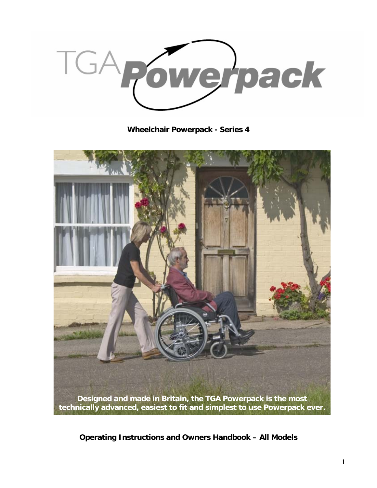TGA owerpack

**Wheelchair Powerpack - Series 4** 



**Operating Instructions and Owners Handbook – All Models**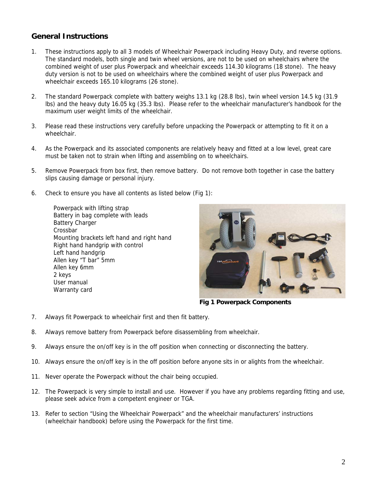#### **General Instructions**

- 1. These instructions apply to all 3 models of Wheelchair Powerpack including Heavy Duty, and reverse options. The standard models, both single and twin wheel versions, are not to be used on wheelchairs where the combined weight of user plus Powerpack and wheelchair exceeds 114.30 kilograms (18 stone). The heavy duty version is not to be used on wheelchairs where the combined weight of user plus Powerpack and wheelchair exceeds 165.10 kilograms (26 stone).
- 2. The standard Powerpack complete with battery weighs 13.1 kg (28.8 lbs), twin wheel version 14.5 kg (31.9 lbs) and the heavy duty 16.05 kg (35.3 lbs). Please refer to the wheelchair manufacturer's handbook for the maximum user weight limits of the wheelchair.
- 3. Please read these instructions very carefully before unpacking the Powerpack or attempting to fit it on a wheelchair.
- 4. As the Powerpack and its associated components are relatively heavy and fitted at a low level, great care must be taken not to strain when lifting and assembling on to wheelchairs.
- 5. Remove Powerpack from box first, then remove battery. Do not remove both together in case the battery slips causing damage or personal injury.
- 6. Check to ensure you have all contents as listed below (Fig 1):

Powerpack with lifting strap Battery in bag complete with leads Battery Charger Crossbar Mounting brackets left hand and right hand Right hand handgrip with control Left hand handgrip Allen key "T bar" 5mm Allen key 6mm 2 keys User manual Warranty card



**Fig 1 Powerpack Components**

- 7. Always fit Powerpack to wheelchair first and then fit battery.
- 8. Always remove battery from Powerpack before disassembling from wheelchair.
- 9. Always ensure the on/off key is in the off position when connecting or disconnecting the battery.
- 10. Always ensure the on/off key is in the off position before anyone sits in or alights from the wheelchair.
- 11. Never operate the Powerpack without the chair being occupied.
- 12. The Powerpack is very simple to install and use. However if you have any problems regarding fitting and use, please seek advice from a competent engineer or TGA.
- 13. Refer to section "Using the Wheelchair Powerpack" and the wheelchair manufacturers' instructions (wheelchair handbook) before using the Powerpack for the first time.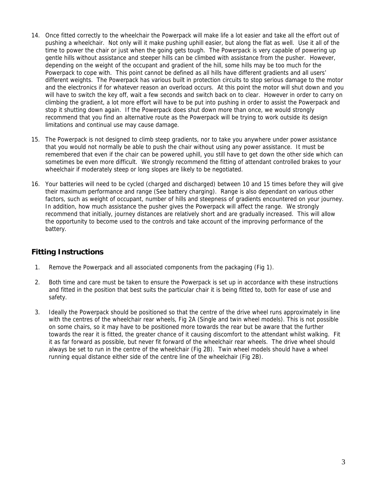- 14. Once fitted correctly to the wheelchair the Powerpack will make life a lot easier and take all the effort out of pushing a wheelchair. Not only will it make pushing uphill easier, but along the flat as well. Use it all of the time to power the chair or just when the going gets tough. The Powerpack is very capable of powering up gentle hills without assistance and steeper hills can be climbed with assistance from the pusher. However, depending on the weight of the occupant and gradient of the hill, some hills may be too much for the Powerpack to cope with. This point cannot be defined as all hills have different gradients and all users' different weights. The Powerpack has various built in protection circuits to stop serious damage to the motor and the electronics if for whatever reason an overload occurs. At this point the motor will shut down and you will have to switch the key off, wait a few seconds and switch back on to clear. However in order to carry on climbing the gradient, a lot more effort will have to be put into pushing in order to assist the Powerpack and stop it shutting down again. If the Powerpack does shut down more than once, we would strongly recommend that you find an alternative route as the Powerpack will be trying to work outside its design limitations and continual use may cause damage.
- 15. The Powerpack is not designed to climb steep gradients, nor to take you anywhere under power assistance that you would not normally be able to push the chair without using any power assistance. It must be remembered that even if the chair can be powered uphill, you still have to get down the other side which can sometimes be even more difficult. We strongly recommend the fitting of attendant controlled brakes to your wheelchair if moderately steep or long slopes are likely to be negotiated.
- 16. Your batteries will need to be cycled (charged and discharged) between 10 and 15 times before they will give their maximum performance and range (See battery charging). Range is also dependant on various other factors, such as weight of occupant, number of hills and steepness of gradients encountered on your journey. In addition, how much assistance the pusher gives the Powerpack will affect the range. We strongly recommend that initially, journey distances are relatively short and are gradually increased. This will allow the opportunity to become used to the controls and take account of the improving performance of the battery.

# **Fitting Instructions**

- 1. Remove the Powerpack and all associated components from the packaging (Fig 1).
- 2. Both time and care must be taken to ensure the Powerpack is set up in accordance with these instructions and fitted in the position that best suits the particular chair it is being fitted to, both for ease of use and safety.
- 3. Ideally the Powerpack should be positioned so that the centre of the drive wheel runs approximately in line with the centres of the wheelchair rear wheels, Fig 2A (Single and twin wheel models). This is not possible on some chairs, so it may have to be positioned more towards the rear but be aware that the further towards the rear it is fitted, the greater chance of it causing discomfort to the attendant whilst walking. Fit it as far forward as possible, but never fit forward of the wheelchair rear wheels. The drive wheel should always be set to run in the centre of the wheelchair (Fig 2B). Twin wheel models should have a wheel running equal distance either side of the centre line of the wheelchair (Fig 2B).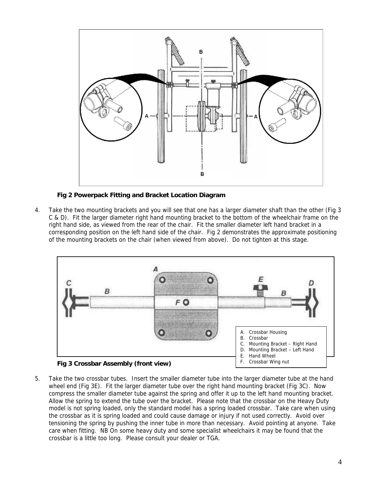

**Fig 2 Powerpack Fitting and Bracket Location Diagram** 

4. Take the two mounting brackets and you will see that one has a larger diameter shaft than the other (Fig 3 C & D). Fit the larger diameter right hand mounting bracket to the bottom of the wheelchair frame on the right hand side, as viewed from the rear of the chair. Fit the smaller diameter left hand bracket in a corresponding position on the left hand side of the chair. Fig 2 demonstrates the approximate positioning of the mounting brackets on the chair (when viewed from above). Do not tighten at this stage.



5. Take the two crossbar tubes. Insert the smaller diameter tube into the larger diameter tube at the hand wheel end (Fig 3E). Fit the larger diameter tube over the right hand mounting bracket (Fig 3C). Now compress the smaller diameter tube against the spring and offer it up to the left hand mounting bracket. Allow the spring to extend the tube over the bracket. Please note that the crossbar on the Heavy Duty model is not spring loaded, only the standard model has a spring loaded crossbar. Take care when using the crossbar as it is spring loaded and could cause damage or injury if not used correctly. Avoid over tensioning the spring by pushing the inner tube in more than necessary. Avoid pointing at anyone. Take care when fitting. NB On some heavy duty and some specialist wheelchairs it may be found that the crossbar is a little too long. Please consult your dealer or TGA.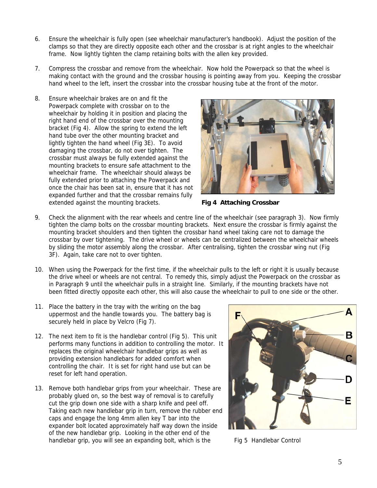- 6. Ensure the wheelchair is fully open (see wheelchair manufacturer's handbook). Adjust the position of the clamps so that they are directly opposite each other and the crossbar is at right angles to the wheelchair frame. Now lightly tighten the clamp retaining bolts with the allen key provided.
- 7. Compress the crossbar and remove from the wheelchair. Now hold the Powerpack so that the wheel is making contact with the ground and the crossbar housing is pointing away from you. Keeping the crossbar hand wheel to the left, insert the crossbar into the crossbar housing tube at the front of the motor.
- 8. Ensure wheelchair brakes are on and fit the Powerpack complete with crossbar on to the wheelchair by holding it in position and placing the right hand end of the crossbar over the mounting bracket (Fig 4). Allow the spring to extend the left hand tube over the other mounting bracket and lightly tighten the hand wheel (Fig 3E). To avoid damaging the crossbar, do not over tighten. The crossbar must always be fully extended against the mounting brackets to ensure safe attachment to the wheelchair frame. The wheelchair should always be fully extended prior to attaching the Powerpack and once the chair has been sat in, ensure that it has not expanded further and that the crossbar remains fully extended against the mounting brackets. **Fig 4 Attaching Crossbar**



- 9. Check the alignment with the rear wheels and centre line of the wheelchair (see paragraph 3). Now firmly tighten the clamp bolts on the crossbar mounting brackets. Next ensure the crossbar is firmly against the mounting bracket shoulders and then tighten the crossbar hand wheel taking care not to damage the crossbar by over tightening. The drive wheel or wheels can be centralized between the wheelchair wheels by sliding the motor assembly along the crossbar. After centralising, tighten the crossbar wing nut (Fig 3F). Again, take care not to over tighten.
- 10. When using the Powerpack for the first time, if the wheelchair pulls to the left or right it is usually because the drive wheel or wheels are not central. To remedy this, simply adjust the Powerpack on the crossbar as in Paragraph 9 until the wheelchair pulls in a straight line. Similarly, if the mounting brackets have not been fitted directly opposite each other, this will also cause the wheelchair to pull to one side or the other.
- 11. Place the battery in the tray with the writing on the bag uppermost and the handle towards you. The battery bag is securely held in place by Velcro (Fig 7).
- 12. The next item to fit is the handlebar control (Fig 5). This unit performs many functions in addition to controlling the motor. I t replaces the original wheelchair handlebar grips as well as providing extension handlebars for added comfort when controlling the chair. It is set for right hand use but can be reset for left hand operation.
- 13. Remove both handlebar grips from your wheelchair. These are probably glued on, so the best way of removal is to carefully cut the grip down one side with a sharp knife and peel off. Taking each new handlebar grip in turn, remove the rubber end caps and engage the long 4mm allen key T bar into the expander bolt located approximately half way down the inside of the new handlebar grip. Looking in the other end of the handlebar grip, you will see an expanding bolt, which is the Fig 5 Handlebar Control

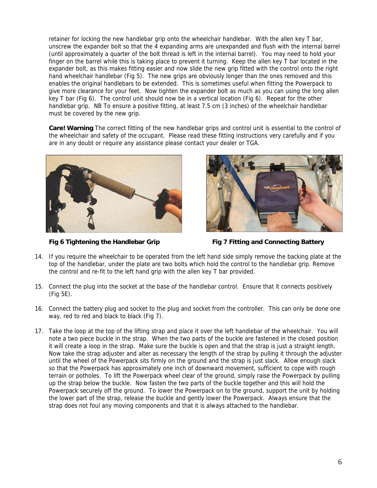retainer for locking the new handlebar grip onto the wheelchair handlebar. With the allen key T bar, unscrew the expander bolt so that the 4 expanding arms are unexpanded and flush with the internal barrel (until approximately a quarter of the bolt thread is left in the internal barrel). You may need to hold your finger on the barrel while this is taking place to prevent it turning. Keep the allen key T bar located in the expander bolt, as this makes fitting easier and now slide the new grip fitted with the control onto the right hand wheelchair handlebar (Fig 5). The new grips are obviously longer than the ones removed and this enables the original handlebars to be extended. This is sometimes useful when fitting the Powerpack to give more clearance for your feet. Now tighten the expander bolt as much as you can using the long allen key T bar (Fig 6). The control unit should now be in a vertical location (Fig 6). Repeat for the other handlebar grip. NB To ensure a positive fitting, at least 7.5 cm (3 inches) of the wheelchair handlebar must be covered by the new grip.

**Care! Warning** The correct fitting of the new handlebar grips and control unit is essential to the control of the wheelchair and safety of the occupant. Please read these fitting instructions very carefully and if you are in any doubt or require any assistance please contact your dealer or TGA.





**Fig 6 Tightening the Handlebar Grip Fig 7 Fitting and Connecting Battery** 

- 14. If you require the wheelchair to be operated from the left hand side simply remove the backing plate at the top of the handlebar, under the plate are two bolts which hold the control to the handlebar grip. Remove the control and re-fit to the left hand grip with the allen key T bar provided.
- 15. Connect the plug into the socket at the base of the handlebar control. Ensure that it connects positively (Fig 5E).
- 16. Connect the battery plug and socket to the plug and socket from the controller. This can only be done one way, red to red and black to black (Fig 7).
- 17. Take the loop at the top of the lifting strap and place it over the left handlebar of the wheelchair. You will note a two piece buckle in the strap. When the two parts of the buckle are fastened in the closed position it will create a loop in the strap. Make sure the buckle is open and that the strap is just a straight length. Now take the strap adjuster and alter as necessary the length of the strap by pulling it through the adjuster until the wheel of the Powerpack sits firmly on the ground and the strap is just slack. Allow enough slack so that the Powerpack has approximately one inch of downward movement, sufficient to cope with rough terrain or potholes. To lift the Powerpack wheel clear of the ground, simply raise the Powerpack by pulling up the strap below the buckle. Now fasten the two parts of the buckle together and this will hold the Powerpack securely off the ground. To lower the Powerpack on to the ground, support the unit by holding the lower part of the strap, release the buckle and gently lower the Powerpack. Always ensure that the strap does not foul any moving components and that it is always attached to the handlebar.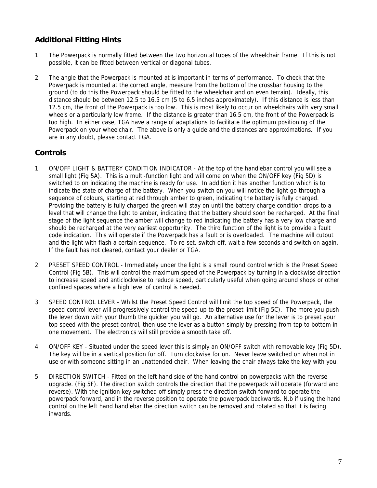# **Additional Fitting Hints**

- 1. The Powerpack is normally fitted between the two horizontal tubes of the wheelchair frame. If this is not possible, it can be fitted between vertical or diagonal tubes.
- 2. The angle that the Powerpack is mounted at is important in terms of performance. To check that the Powerpack is mounted at the correct angle, measure from the bottom of the crossbar housing to the ground (to do this the Powerpack should be fitted to the wheelchair and on even terrain). Ideally, this distance should be between 12.5 to 16.5 cm (5 to 6.5 inches approximately). If this distance is less than 12.5 cm, the front of the Powerpack is too low. This is most likely to occur on wheelchairs with very small wheels or a particularly low frame. If the distance is greater than 16.5 cm, the front of the Powerpack is too high. In either case, TGA have a range of adaptations to facilitate the optimum positioning of the Powerpack on your wheelchair. The above is only a guide and the distances are approximations. If you are in any doubt, please contact TGA.

# **Controls**

- 1. ON/OFF LIGHT & BATTERY CONDITION INDICATOR At the top of the handlebar control you will see a small light (Fig 5A). This is a multi-function light and will come on when the ON/OFF key (Fig 5D) is switched to on indicating the machine is ready for use. In addition it has another function which is to indicate the state of charge of the battery. When you switch on you will notice the light go through a sequence of colours, starting at red through amber to green, indicating the battery is fully charged. Providing the battery is fully charged the green will stay on until the battery charge condition drops to a level that will change the light to amber, indicating that the battery should soon be recharged. At the final stage of the light sequence the amber will change to red indicating the battery has a very low charge and should be recharged at the very earliest opportunity. The third function of the light is to provide a fault code indication. This will operate if the Powerpack has a fault or is overloaded. The machine will cutout and the light with flash a certain sequence. To re-set, switch off, wait a few seconds and switch on again. If the fault has not cleared, contact your dealer or TGA.
- 2. PRESET SPEED CONTROL Immediately under the light is a small round control which is the Preset Speed Control (Fig 5B). This will control the maximum speed of the Powerpack by turning in a clockwise direction to increase speed and anticlockwise to reduce speed, particularly useful when going around shops or other confined spaces where a high level of control is needed.
- 3. SPEED CONTROL LEVER Whilst the Preset Speed Control will limit the top speed of the Powerpack, the speed control lever will progressively control the speed up to the preset limit (Fig 5C). The more you push the lever down with your thumb the quicker you will go. An alternative use for the lever is to preset your top speed with the preset control, then use the lever as a button simply by pressing from top to bottom in one movement. The electronics will still provide a smooth take off.
- 4. ON/OFF KEY Situated under the speed lever this is simply an ON/OFF switch with removable key (Fig 5D). The key will be in a vertical position for off. Turn clockwise for on. Never leave switched on when not in use or with someone sitting in an unattended chair. When leaving the chair always take the key with you.
- 5. DIRECTION SWITCH Fitted on the left hand side of the hand control on powerpacks with the reverse upgrade. (Fig 5F). The direction switch controls the direction that the powerpack will operate (forward and reverse). With the ignition key switched off simply press the direction switch forward to operate the powerpack forward, and in the reverse position to operate the powerpack backwards. N.b if using the hand control on the left hand handlebar the direction switch can be removed and rotated so that it is facing inwards.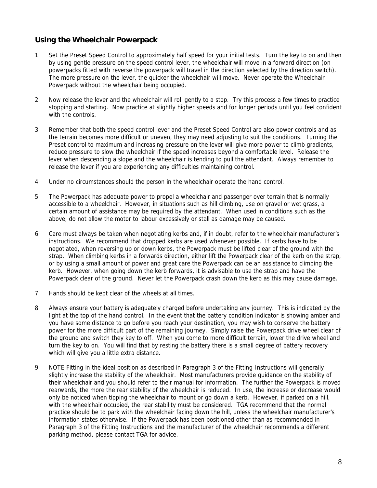# **Using the Wheelchair Powerpack**

- 1. Set the Preset Speed Control to approximately half speed for your initial tests. Turn the key to on and then by using gentle pressure on the speed control lever, the wheelchair will move in a forward direction (on powerpacks fitted with reverse the powerpack will travel in the direction selected by the direction switch). The more pressure on the lever, the quicker the wheelchair will move. Never operate the Wheelchair Powerpack without the wheelchair being occupied.
- 2. Now release the lever and the wheelchair will roll gently to a stop. Try this process a few times to practice stopping and starting. Now practice at slightly higher speeds and for longer periods until you feel confident with the controls.
- 3. Remember that both the speed control lever and the Preset Speed Control are also power controls and as the terrain becomes more difficult or uneven, they may need adjusting to suit the conditions. Turning the Preset control to maximum and increasing pressure on the lever will give more power to climb gradients, reduce pressure to slow the wheelchair if the speed increases beyond a comfortable level. Release the lever when descending a slope and the wheelchair is tending to pull the attendant. Always remember to release the lever if you are experiencing any difficulties maintaining control.
- 4. Under no circumstances should the person in the wheelchair operate the hand control.
- 5. The Powerpack has adequate power to propel a wheelchair and passenger over terrain that is normally accessible to a wheelchair. However, in situations such as hill climbing, use on gravel or wet grass, a certain amount of assistance may be required by the attendant. When used in conditions such as the above, do not allow the motor to labour excessively or stall as damage may be caused.
- 6. Care must always be taken when negotiating kerbs and, if in doubt, refer to the wheelchair manufacturer's instructions. We recommend that dropped kerbs are used whenever possible. If kerbs have to be negotiated, when reversing up or down kerbs, the Powerpack must be lifted clear of the ground with the strap. When climbing kerbs in a forwards direction, either lift the Powerpack clear of the kerb on the strap, or by using a small amount of power and great care the Powerpack can be an assistance to climbing the kerb. However, when going down the kerb forwards, it is advisable to use the strap and have the Powerpack clear of the ground. Never let the Powerpack crash down the kerb as this may cause damage.
- 7. Hands should be kept clear of the wheels at all times.
- 8. Always ensure your battery is adequately charged before undertaking any journey. This is indicated by the light at the top of the hand control. In the event that the battery condition indicator is showing amber and you have some distance to go before you reach your destination, you may wish to conserve the battery power for the more difficult part of the remaining journey. Simply raise the Powerpack drive wheel clear of the ground and switch they key to off. When you come to more difficult terrain, lower the drive wheel and turn the key to on. You will find that by resting the battery there is a small degree of battery recovery which will give you a little extra distance.
- 9. NOTE Fitting in the ideal position as described in Paragraph 3 of the Fitting Instructions will generally slightly increase the stability of the wheelchair. Most manufacturers provide guidance on the stability of their wheelchair and you should refer to their manual for information. The further the Powerpack is moved rearwards, the more the rear stability of the wheelchair is reduced. In use, the increase or decrease would only be noticed when tipping the wheelchair to mount or go down a kerb. However, if parked on a hill, with the wheelchair occupied, the rear stability must be considered. TGA recommend that the normal practice should be to park with the wheelchair facing down the hill, unless the wheelchair manufacturer's information states otherwise. If the Powerpack has been positioned other than as recommended in Paragraph 3 of the Fitting Instructions and the manufacturer of the wheelchair recommends a different parking method, please contact TGA for advice.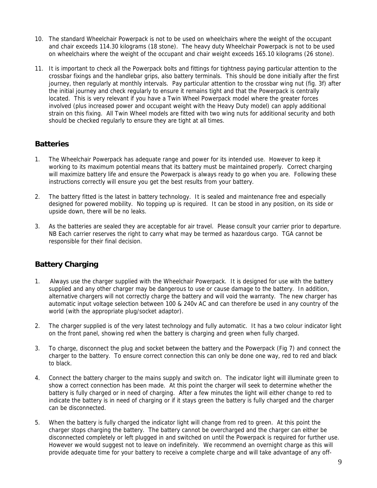- 10. The standard Wheelchair Powerpack is not to be used on wheelchairs where the weight of the occupant and chair exceeds 114.30 kilograms (18 stone). The heavy duty Wheelchair Powerpack is not to be used on wheelchairs where the weight of the occupant and chair weight exceeds 165.10 kilograms (26 stone).
- 11. It is important to check all the Powerpack bolts and fittings for tightness paying particular attention to the crossbar fixings and the handlebar grips, also battery terminals. This should be done initially after the first journey, then regularly at monthly intervals. Pay particular attention to the crossbar wing nut (fig. 3f) after the initial journey and check regularly to ensure it remains tight and that the Powerpack is centrally located. This is very relevant if you have a Twin Wheel Powerpack model where the greater forces involved (plus increased power and occupant weight with the Heavy Duty model) can apply additional strain on this fixing. All Twin Wheel models are fitted with two wing nuts for additional security and both should be checked regularly to ensure they are tight at all times.

#### **Batteries**

- 1. The Wheelchair Powerpack has adequate range and power for its intended use. However to keep it working to its maximum potential means that its battery must be maintained properly. Correct charging will maximize battery life and ensure the Powerpack is always ready to go when you are. Following these instructions correctly will ensure you get the best results from your battery.
- 2. The battery fitted is the latest in battery technology. It is sealed and maintenance free and especially designed for powered mobility. No topping up is required. It can be stood in any position, on its side or upside down, there will be no leaks.
- 3. As the batteries are sealed they are acceptable for air travel. Please consult your carrier prior to departure. NB Each carrier reserves the right to carry what may be termed as hazardous cargo. TGA cannot be responsible for their final decision.

# **Battery Charging**

- 1. Always use the charger supplied with the Wheelchair Powerpack. It is designed for use with the battery supplied and any other charger may be dangerous to use or cause damage to the battery. In addition, alternative chargers will not correctly charge the battery and will void the warranty. The new charger has automatic input voltage selection between 100 & 240v AC and can therefore be used in any country of the world (with the appropriate plug/socket adaptor).
- 2. The charger supplied is of the very latest technology and fully automatic. It has a two colour indicator light on the front panel, showing red when the battery is charging and green when fully charged.
- 3. To charge, disconnect the plug and socket between the battery and the Powerpack (Fig 7) and connect the charger to the battery. To ensure correct connection this can only be done one way, red to red and black to black.
- 4. Connect the battery charger to the mains supply and switch on. The indicator light will illuminate green to show a correct connection has been made. At this point the charger will seek to determine whether the battery is fully charged or in need of charging. After a few minutes the light will either change to red to indicate the battery is in need of charging or if it stays green the battery is fully charged and the charger can be disconnected.
- 5. When the battery is fully charged the indicator light will change from red to green. At this point the charger stops charging the battery. The battery cannot be overcharged and the charger can either be disconnected completely or left plugged in and switched on until the Powerpack is required for further use. However we would suggest not to leave on indefinitely. We recommend an overnight charge as this will provide adequate time for your battery to receive a complete charge and will take advantage of any off-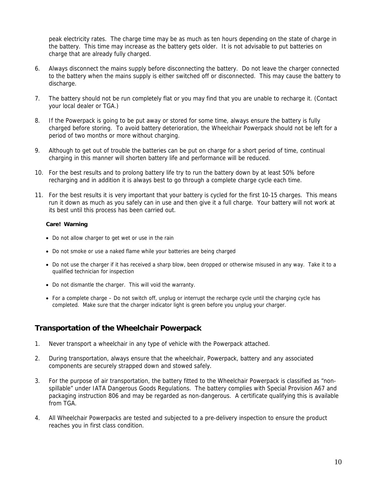peak electricity rates. The charge time may be as much as ten hours depending on the state of charge in the battery. This time may increase as the battery gets older. It is not advisable to put batteries on charge that are already fully charged.

- 6. Always disconnect the mains supply before disconnecting the battery. Do not leave the charger connected to the battery when the mains supply is either switched off or disconnected. This may cause the battery to discharge.
- 7. The battery should not be run completely flat or you may find that you are unable to recharge it. (Contact your local dealer or TGA.)
- 8. If the Powerpack is going to be put away or stored for some time, always ensure the battery is fully charged before storing. To avoid battery deterioration, the Wheelchair Powerpack should not be left for a period of two months or more without charging.
- 9. Although to get out of trouble the batteries can be put on charge for a short period of time, continual charging in this manner will shorten battery life and performance will be reduced.
- 10. For the best results and to prolong battery life try to run the battery down by at least 50% before recharging and in addition it is always best to go through a complete charge cycle each time.
- 11. For the best results it is very important that your battery is cycled for the first 10-15 charges. This means run it down as much as you safely can in use and then give it a full charge. Your battery will not work at its best until this process has been carried out.

#### **Care! Warning**

- Do not allow charger to get wet or use in the rain
- Do not smoke or use a naked flame while your batteries are being charged
- Do not use the charger if it has received a sharp blow, been dropped or otherwise misused in any way. Take it to a qualified technician for inspection
- Do not dismantle the charger. This will void the warranty.
- For a complete charge Do not switch off, unplug or interrupt the recharge cycle until the charging cycle has completed. Make sure that the charger indicator light is green before you unplug your charger.

# **Transportation of the Wheelchair Powerpack**

- 1. Never transport a wheelchair in any type of vehicle with the Powerpack attached.
- 2. During transportation, always ensure that the wheelchair, Powerpack, battery and any associated components are securely strapped down and stowed safely.
- 3. For the purpose of air transportation, the battery fitted to the Wheelchair Powerpack is classified as "nonspillable" under IATA Dangerous Goods Regulations. The battery complies with Special Provision A67 and packaging instruction 806 and may be regarded as non-dangerous. A certificate qualifying this is available from TGA.
- 4. All Wheelchair Powerpacks are tested and subjected to a pre-delivery inspection to ensure the product reaches you in first class condition.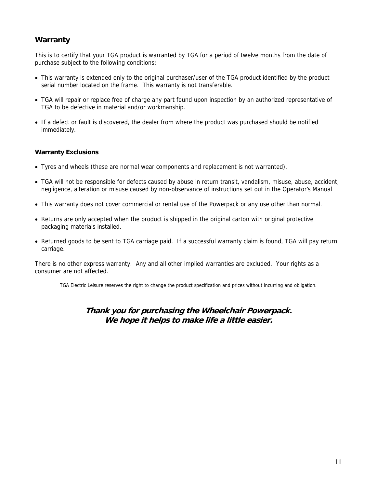# **Warranty**

This is to certify that your TGA product is warranted by TGA for a period of twelve months from the date of purchase subject to the following conditions:

- This warranty is extended only to the original purchaser/user of the TGA product identified by the product serial number located on the frame. This warranty is not transferable.
- TGA will repair or replace free of charge any part found upon inspection by an authorized representative of TGA to be defective in material and/or workmanship.
- If a defect or fault is discovered, the dealer from where the product was purchased should be notified immediately.

#### **Warranty Exclusions**

- Tyres and wheels (these are normal wear components and replacement is not warranted).
- TGA will not be responsible for defects caused by abuse in return transit, vandalism, misuse, abuse, accident, negligence, alteration or misuse caused by non-observance of instructions set out in the Operator's Manual
- This warranty does not cover commercial or rental use of the Powerpack or any use other than normal.
- Returns are only accepted when the product is shipped in the original carton with original protective packaging materials installed.
- Returned goods to be sent to TGA carriage paid. If a successful warranty claim is found, TGA will pay return carriage.

There is no other express warranty. Any and all other implied warranties are excluded. Your rights as a consumer are not affected.

TGA Electric Leisure reserves the right to change the product specification and prices without incurring and obligation.

#### **Thank you for purchasing the Wheelchair Powerpack. We hope it helps to make life a little easier.**